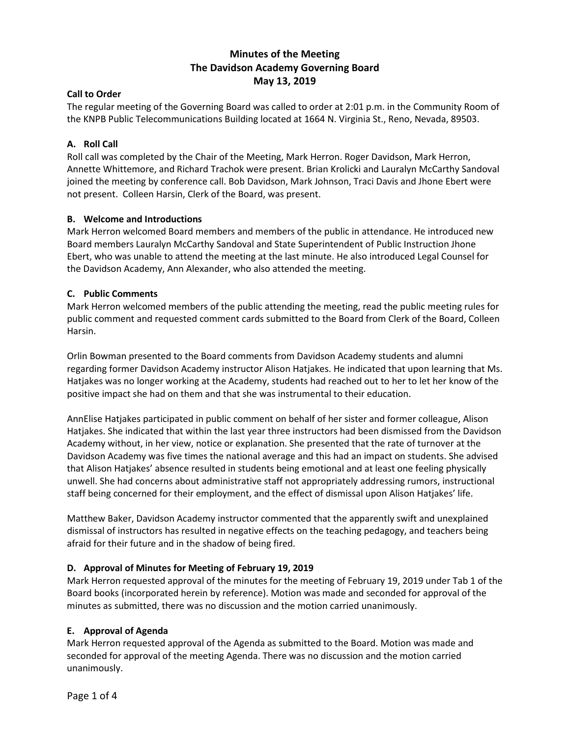# **Minutes of the Meeting The Davidson Academy Governing Board May 13, 2019**

# **Call to Order**

The regular meeting of the Governing Board was called to order at 2:01 p.m. in the Community Room of the KNPB Public Telecommunications Building located at 1664 N. Virginia St., Reno, Nevada, 89503.

# **A. Roll Call**

Roll call was completed by the Chair of the Meeting, Mark Herron. Roger Davidson, Mark Herron, Annette Whittemore, and Richard Trachok were present. Brian Krolicki and Lauralyn McCarthy Sandoval joined the meeting by conference call. Bob Davidson, Mark Johnson, Traci Davis and Jhone Ebert were not present. Colleen Harsin, Clerk of the Board, was present.

# **B. Welcome and Introductions**

Mark Herron welcomed Board members and members of the public in attendance. He introduced new Board members Lauralyn McCarthy Sandoval and State Superintendent of Public Instruction Jhone Ebert, who was unable to attend the meeting at the last minute. He also introduced Legal Counsel for the Davidson Academy, Ann Alexander, who also attended the meeting.

# **C. Public Comments**

Mark Herron welcomed members of the public attending the meeting, read the public meeting rules for public comment and requested comment cards submitted to the Board from Clerk of the Board, Colleen Harsin.

Orlin Bowman presented to the Board comments from Davidson Academy students and alumni regarding former Davidson Academy instructor Alison Hatjakes. He indicated that upon learning that Ms. Hatjakes was no longer working at the Academy, students had reached out to her to let her know of the positive impact she had on them and that she was instrumental to their education.

AnnElise Hatjakes participated in public comment on behalf of her sister and former colleague, Alison Hatjakes. She indicated that within the last year three instructors had been dismissed from the Davidson Academy without, in her view, notice or explanation. She presented that the rate of turnover at the Davidson Academy was five times the national average and this had an impact on students. She advised that Alison Hatjakes' absence resulted in students being emotional and at least one feeling physically unwell. She had concerns about administrative staff not appropriately addressing rumors, instructional staff being concerned for their employment, and the effect of dismissal upon Alison Hatjakes' life.

Matthew Baker, Davidson Academy instructor commented that the apparently swift and unexplained dismissal of instructors has resulted in negative effects on the teaching pedagogy, and teachers being afraid for their future and in the shadow of being fired.

### **D. Approval of Minutes for Meeting of February 19, 2019**

Mark Herron requested approval of the minutes for the meeting of February 19, 2019 under Tab 1 of the Board books (incorporated herein by reference). Motion was made and seconded for approval of the minutes as submitted, there was no discussion and the motion carried unanimously.

### **E. Approval of Agenda**

Mark Herron requested approval of the Agenda as submitted to the Board. Motion was made and seconded for approval of the meeting Agenda. There was no discussion and the motion carried unanimously.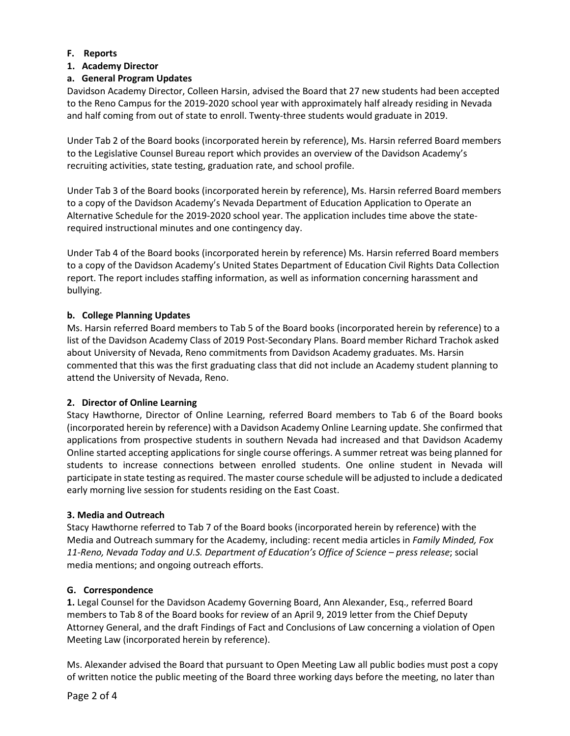### **F. Reports**

# **1. Academy Director**

# **a. General Program Updates**

Davidson Academy Director, Colleen Harsin, advised the Board that 27 new students had been accepted to the Reno Campus for the 2019-2020 school year with approximately half already residing in Nevada and half coming from out of state to enroll. Twenty-three students would graduate in 2019.

Under Tab 2 of the Board books (incorporated herein by reference), Ms. Harsin referred Board members to the Legislative Counsel Bureau report which provides an overview of the Davidson Academy's recruiting activities, state testing, graduation rate, and school profile.

Under Tab 3 of the Board books (incorporated herein by reference), Ms. Harsin referred Board members to a copy of the Davidson Academy's Nevada Department of Education Application to Operate an Alternative Schedule for the 2019-2020 school year. The application includes time above the staterequired instructional minutes and one contingency day.

Under Tab 4 of the Board books (incorporated herein by reference) Ms. Harsin referred Board members to a copy of the Davidson Academy's United States Department of Education Civil Rights Data Collection report. The report includes staffing information, as well as information concerning harassment and bullying.

# **b. College Planning Updates**

Ms. Harsin referred Board members to Tab 5 of the Board books (incorporated herein by reference) to a list of the Davidson Academy Class of 2019 Post-Secondary Plans. Board member Richard Trachok asked about University of Nevada, Reno commitments from Davidson Academy graduates. Ms. Harsin commented that this was the first graduating class that did not include an Academy student planning to attend the University of Nevada, Reno.

### **2. Director of Online Learning**

Stacy Hawthorne, Director of Online Learning, referred Board members to Tab 6 of the Board books (incorporated herein by reference) with a Davidson Academy Online Learning update. She confirmed that applications from prospective students in southern Nevada had increased and that Davidson Academy Online started accepting applications for single course offerings. A summer retreat was being planned for students to increase connections between enrolled students. One online student in Nevada will participate in state testing as required. The master course schedule will be adjusted to include a dedicated early morning live session for students residing on the East Coast.

### **3. Media and Outreach**

Stacy Hawthorne referred to Tab 7 of the Board books (incorporated herein by reference) with the Media and Outreach summary for the Academy, including: recent media articles in *Family Minded, Fox 11-Reno, Nevada Today and U.S. Department of Education's Office of Science – press release*; social media mentions; and ongoing outreach efforts.

# **G. Correspondence**

**1.** Legal Counsel for the Davidson Academy Governing Board, Ann Alexander, Esq., referred Board members to Tab 8 of the Board books for review of an April 9, 2019 letter from the Chief Deputy Attorney General, and the draft Findings of Fact and Conclusions of Law concerning a violation of Open Meeting Law (incorporated herein by reference).

Ms. Alexander advised the Board that pursuant to Open Meeting Law all public bodies must post a copy of written notice the public meeting of the Board three working days before the meeting, no later than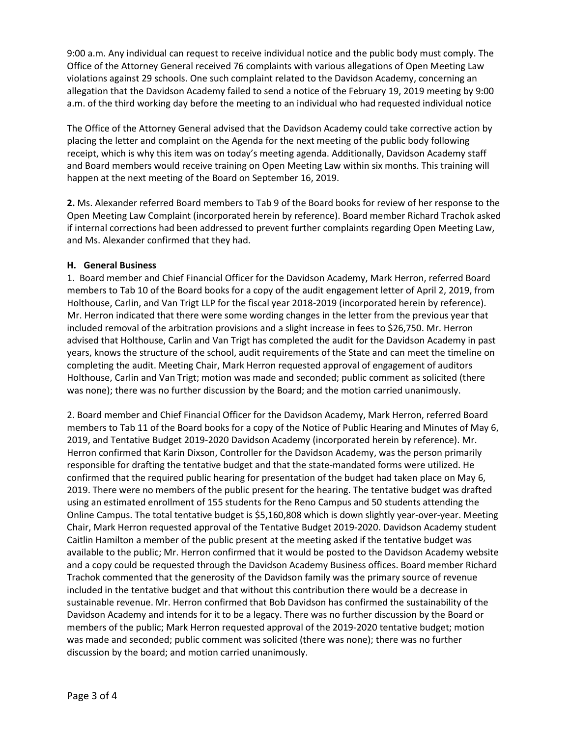9:00 a.m. Any individual can request to receive individual notice and the public body must comply. The Office of the Attorney General received 76 complaints with various allegations of Open Meeting Law violations against 29 schools. One such complaint related to the Davidson Academy, concerning an allegation that the Davidson Academy failed to send a notice of the February 19, 2019 meeting by 9:00 a.m. of the third working day before the meeting to an individual who had requested individual notice

The Office of the Attorney General advised that the Davidson Academy could take corrective action by placing the letter and complaint on the Agenda for the next meeting of the public body following receipt, which is why this item was on today's meeting agenda. Additionally, Davidson Academy staff and Board members would receive training on Open Meeting Law within six months. This training will happen at the next meeting of the Board on September 16, 2019.

**2.** Ms. Alexander referred Board members to Tab 9 of the Board books for review of her response to the Open Meeting Law Complaint (incorporated herein by reference). Board member Richard Trachok asked if internal corrections had been addressed to prevent further complaints regarding Open Meeting Law, and Ms. Alexander confirmed that they had.

### **H. General Business**

1. Board member and Chief Financial Officer for the Davidson Academy, Mark Herron, referred Board members to Tab 10 of the Board books for a copy of the audit engagement letter of April 2, 2019, from Holthouse, Carlin, and Van Trigt LLP for the fiscal year 2018-2019 (incorporated herein by reference). Mr. Herron indicated that there were some wording changes in the letter from the previous year that included removal of the arbitration provisions and a slight increase in fees to \$26,750. Mr. Herron advised that Holthouse, Carlin and Van Trigt has completed the audit for the Davidson Academy in past years, knows the structure of the school, audit requirements of the State and can meet the timeline on completing the audit. Meeting Chair, Mark Herron requested approval of engagement of auditors Holthouse, Carlin and Van Trigt; motion was made and seconded; public comment as solicited (there was none); there was no further discussion by the Board; and the motion carried unanimously.

2. Board member and Chief Financial Officer for the Davidson Academy, Mark Herron, referred Board members to Tab 11 of the Board books for a copy of the Notice of Public Hearing and Minutes of May 6, 2019, and Tentative Budget 2019-2020 Davidson Academy (incorporated herein by reference). Mr. Herron confirmed that Karin Dixson, Controller for the Davidson Academy, was the person primarily responsible for drafting the tentative budget and that the state-mandated forms were utilized. He confirmed that the required public hearing for presentation of the budget had taken place on May 6, 2019. There were no members of the public present for the hearing. The tentative budget was drafted using an estimated enrollment of 155 students for the Reno Campus and 50 students attending the Online Campus. The total tentative budget is \$5,160,808 which is down slightly year-over-year. Meeting Chair, Mark Herron requested approval of the Tentative Budget 2019-2020. Davidson Academy student Caitlin Hamilton a member of the public present at the meeting asked if the tentative budget was available to the public; Mr. Herron confirmed that it would be posted to the Davidson Academy website and a copy could be requested through the Davidson Academy Business offices. Board member Richard Trachok commented that the generosity of the Davidson family was the primary source of revenue included in the tentative budget and that without this contribution there would be a decrease in sustainable revenue. Mr. Herron confirmed that Bob Davidson has confirmed the sustainability of the Davidson Academy and intends for it to be a legacy. There was no further discussion by the Board or members of the public; Mark Herron requested approval of the 2019-2020 tentative budget; motion was made and seconded; public comment was solicited (there was none); there was no further discussion by the board; and motion carried unanimously.